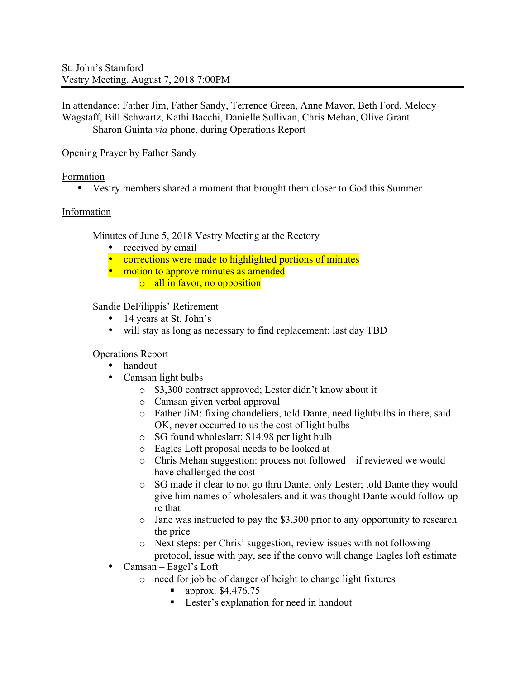In attendance: Father Jim, Father Sandy, Terrence Green, Anne Mavor, Beth Ford, Melody Wagstaff, Bill Schwartz, Kathi Bacchi, Danielle Sullivan, Chris Mehan, Olive Grant Sharon Guinta *via* phone, during Operations Report

Opening Prayer by Father Sandy

Formation

• Vestry members shared a moment that brought them closer to God this Summer

# Information

Minutes of June 5, 2018 Vestry Meeting at the Rectory

- received by email
- corrections were made to highlighted portions of minutes
- motion to approve minutes as amended
	- o all in favor, no opposition

# Sandie DeFilippis' Retirement

- 14 years at St. John's<br>• will stay as long as ne
- will stay as long as necessary to find replacement; last day TBD

# Operations Report

- handout
- Camsan light bulbs
	- o \$3,300 contract approved; Lester didn't know about it
	- o Camsan given verbal approval
	- o Father JiM: fixing chandeliers, told Dante, need lightbulbs in there, said OK, never occurred to us the cost of light bulbs
	- o SG found wholeslarr; \$14.98 per light bulb
	- o Eagles Loft proposal needs to be looked at
	- o Chris Mehan suggestion: process not followed if reviewed we would have challenged the cost
	- o SG made it clear to not go thru Dante, only Lester; told Dante they would give him names of wholesalers and it was thought Dante would follow up re that
	- o Jane was instructed to pay the \$3,300 prior to any opportunity to research the price
	- o Next steps: per Chris' suggestion, review issues with not following protocol, issue with pay, see if the convo will change Eagles loft estimate
- Camsan Eagel's Loft
	- o need for job bc of danger of height to change light fixtures
		- ! approx. \$4,476.75
		- ! Lester's explanation for need in handout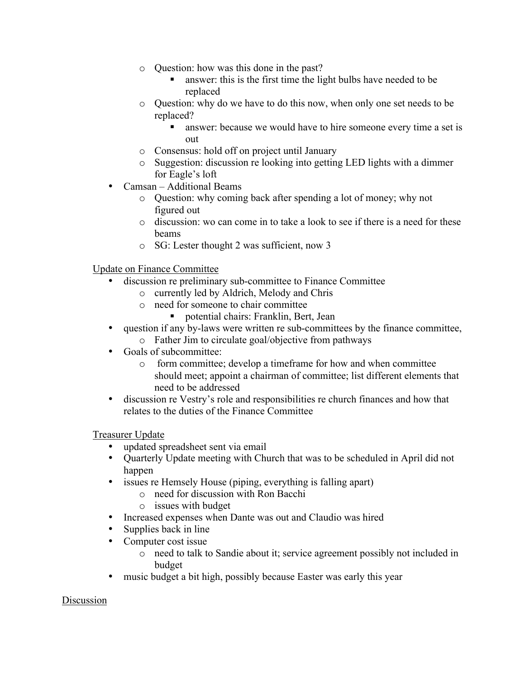- o Question: how was this done in the past?
	- answer: this is the first time the light bulbs have needed to be replaced
- o Question: why do we have to do this now, when only one set needs to be replaced?
	- answer: because we would have to hire someone every time a set is out
- o Consensus: hold off on project until January
- o Suggestion: discussion re looking into getting LED lights with a dimmer for Eagle's loft
- Camsan Additional Beams
	- o Question: why coming back after spending a lot of money; why not figured out
	- o discussion: wo can come in to take a look to see if there is a need for these beams
	- o SG: Lester thought 2 was sufficient, now 3

Update on Finance Committee

- discussion re preliminary sub-committee to Finance Committee
	- o currently led by Aldrich, Melody and Chris
	- o need for someone to chair committee
		- ! potential chairs: Franklin, Bert, Jean
- question if any by-laws were written re sub-committees by the finance committee,
	- o Father Jim to circulate goal/objective from pathways
- Goals of subcommittee:
	- o form committee; develop a timeframe for how and when committee should meet; appoint a chairman of committee; list different elements that need to be addressed
- discussion re Vestry's role and responsibilities re church finances and how that relates to the duties of the Finance Committee

Treasurer Update

- updated spreadsheet sent via email
- Quarterly Update meeting with Church that was to be scheduled in April did not happen
- issues re Hemsely House (piping, everything is falling apart)
	- o need for discussion with Ron Bacchi
	- o issues with budget
- Increased expenses when Dante was out and Claudio was hired
- Supplies back in line
- Computer cost issue
	- o need to talk to Sandie about it; service agreement possibly not included in budget
- music budget a bit high, possibly because Easter was early this year

Discussion